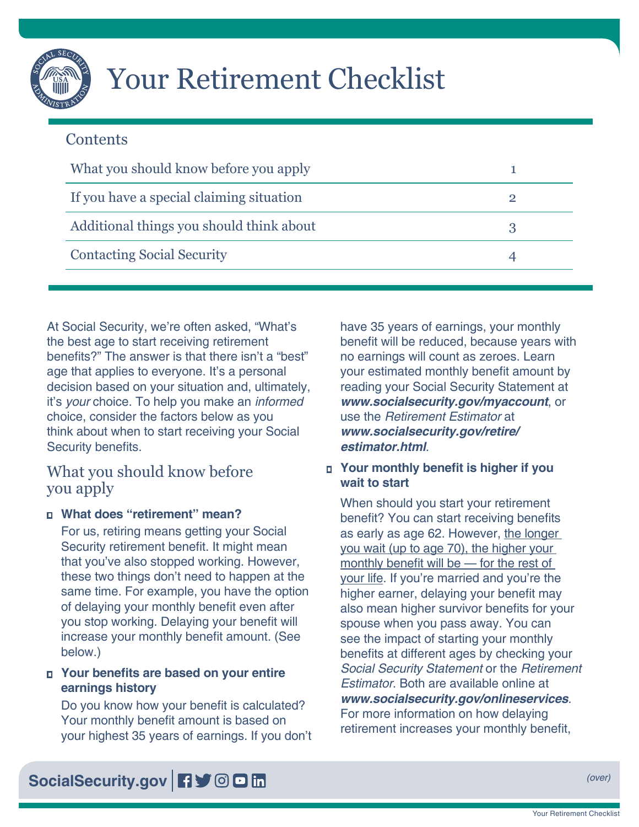

# Your Retirement Checklist

# **Contents**

| What you should know before you apply    |  |
|------------------------------------------|--|
| If you have a special claiming situation |  |
| Additional things you should think about |  |
| <b>Contacting Social Security</b>        |  |

At Social Security, we're often asked, "What's the best age to start receiving retirement benefits?" The answer is that there isn't a "best" age that applies to everyone. It's a personal decision based on your situation and, ultimately, it's *your* choice. To help you make an *informed* choice, consider the factors below as you think about when to start receiving your Social Security benefits.

# What you should know before you apply

## **□ What does "retirement" mean?**

For us, retiring means getting your Social Security retirement benefit. It might mean that you've also stopped working. However, these two things don't need to happen at the same time. For example, you have the option of delaying your monthly benefit even after you stop working. Delaying your benefit will increase your monthly benefit amount. (See below.)

#### ■ Your benefits are based on your entire **earnings history**

Do you know how your benefit is calculated? Your monthly benefit amount is based on your highest 35 years of earnings. If you don't have 35 years of earnings, your monthly benefit will be reduced, because years with no earnings will count as zeroes. Learn your estimated monthly benefit amount by reading your Social Security Statement at *[www.socialsecurity.gov/myaccount](https://www.socialsecurity.gov/myaccount)*, or use the *[Retirement Estimator](https://www.ssa.gov/benefits/retirement/estimator.html)* at *[www.socialsecurity.gov/retire/](https://www.SocialSecurity.gov/retire/estimator.html) [estimator.html](https://www.SocialSecurity.gov/retire/estimator.html)*.

## **<u><b>** Your monthly benefit is higher if you</u> **wait to start**

When should you start your retirement benefit? You can start receiving benefits as early as age 62. However, the longer you wait (up to age 70), the higher your monthly benefit will be — for the rest of your life. If you're married and you're the higher earner, delaying your benefit may also mean higher survivor benefits for your spouse when you pass away. You can see the impact of starting your monthly benefits at different ages by checking your *Social Security Statement* or the *[Retirement](https://www.ssa.gov/benefits/retirement/estimator.html)  [Estimator](https://www.ssa.gov/benefits/retirement/estimator.html)*. Both are available online at *[www.socialsecurity.gov/onlineservices](https://www.socialsecurity.gov/onlineservices)*. For more information on how delaying retirement increases your monthly benefit,

[SocialSecurity.gov](https://www.socialsecurity.gov) **F**  $\bullet$  **OD** in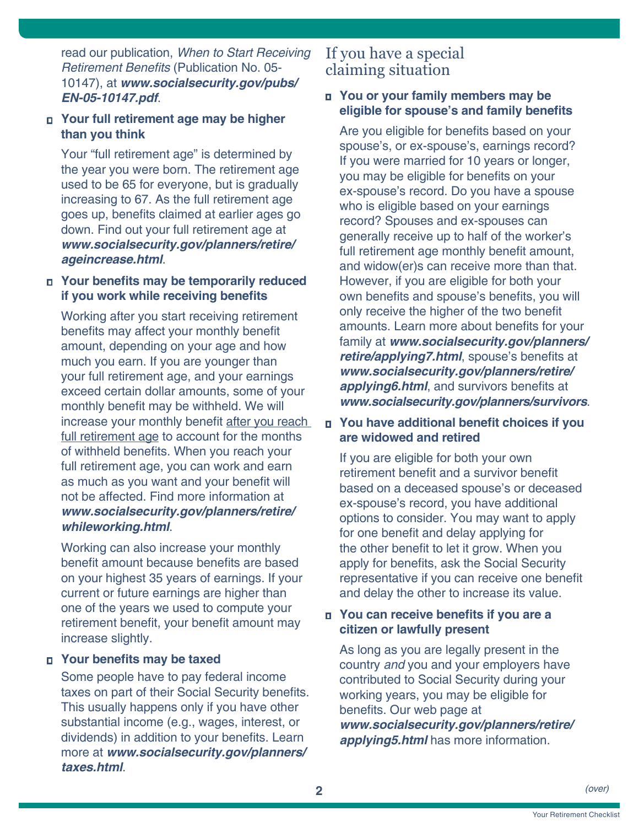<span id="page-1-0"></span>read our publication, *[When to Start Receiving](https://www.ssa.gov/pubs/EN-05-10147.pdf)*  Retirement Benefits [\(Publication No. 05-](https://www.ssa.gov/pubs/EN-05-10147.pdf) [10147\)](https://www.ssa.gov/pubs/EN-05-10147.pdf), at *[www.socialsecurity.gov/pubs/](https://www.ssa.gov/pubs/EN-05-10147.pdf) [EN-05-10147.pdf](https://www.ssa.gov/pubs/EN-05-10147.pdf)*.

#### **□ Your full retirement age may be higher than you think**

Your "full retirement age" is determined by the year you were born. The retirement age used to be 65 for everyone, but is gradually increasing to 67. As the full retirement age goes up, benefits claimed at earlier ages go down. Find out your full retirement age at *[www.socialsecurity.gov/planners/retire/](https://www.socialsecurity.gov/planners/retire/ageincrease.html) [ageincrease.html](https://www.socialsecurity.gov/planners/retire/ageincrease.html)*.

#### ■ Your benefits may be temporarily reduced **if you work while receiving benefits**

Working after you start receiving retirement benefits may affect your monthly benefit amount, depending on your age and how much you earn. If you are younger than your full retirement age, and your earnings exceed certain dollar amounts, some of your monthly benefit may be withheld. We will increase your monthly benefit after you reach full retirement age to account for the months of withheld benefits. When you reach your full retirement age, you can work and earn as much as you want and your benefit will not be affected. Find more information at *[www.socialsecurity.gov/planners/retire/](https://www.socialsecurity.gov/planners/retire/whileworking.html) [whileworking.html](https://www.socialsecurity.gov/planners/retire/whileworking.html)*.

Working can also increase your monthly benefit amount because benefits are based on your highest 35 years of earnings. If your current or future earnings are higher than one of the years we used to compute your retirement benefit, your benefit amount may increase slightly.

## **□ Your benefits may be taxed**

Some people have to pay federal income taxes on part of their Social Security benefits. This usually happens only if you have other substantial income (e.g., wages, interest, or dividends) in addition to your benefits. Learn more at *[www.socialsecurity.gov/planners/](https://www.socialsecurity.gov/planners/taxes.html) [taxes.html](https://www.socialsecurity.gov/planners/taxes.html)*.

# If you have a special claiming situation

#### □ You or your family members may be **eligible for spouse's and family benefits**

Are you eligible for benefits based on your spouse's, or ex-spouse's, earnings record? If you were married for 10 years or longer, you may be eligible for benefits on your ex-spouse's record. Do you have a spouse who is eligible based on your earnings record? Spouses and ex-spouses can generally receive up to half of the worker's full retirement age monthly benefit amount, and widow(er)s can receive more than that. However, if you are eligible for both your own benefits and spouse's benefits, you will only receive the higher of the two benefit amounts. Learn more about benefits for your family at *[www.socialsecurity.gov/planners/](https://www.socialsecurity.gov/planners/retire/applying7.html) [retire/applying7.html](https://www.socialsecurity.gov/planners/retire/applying7.html)*, spouse's benefits at *[www.socialsecurity.gov/planners/retire/](https://www.socialsecurity.gov/planners/retire/applying6.html) [applying6.html](https://www.socialsecurity.gov/planners/retire/applying6.html)*, and survivors benefits at *[www.socialsecurity.gov/planners/survivors](https://www.socialsecurity.gov/planners/survivors)*.

## **<u><b>□** You have additional benefit choices if you</u> **are widowed and retired**

If you are eligible for both your own retirement benefit and a survivor benefit based on a deceased spouse's or deceased ex-spouse's record, you have additional options to consider. You may want to apply for one benefit and delay applying for the other benefit to let it grow. When you apply for benefits, ask the Social Security representative if you can receive one benefit and delay the other to increase its value.

## $\blacksquare$  You can receive benefits if you are a **citizen or lawfully present**

As long as you are legally present in the country *and* you and your employers have contributed to Social Security during your working years, you may be eligible for benefits. Our web page at *[www.socialsecurity.gov/planners/retire/](https://www.socialsecurity.gov/planners/retire/applying5.html) [applying5.html](https://www.socialsecurity.gov/planners/retire/applying5.html)* has more information.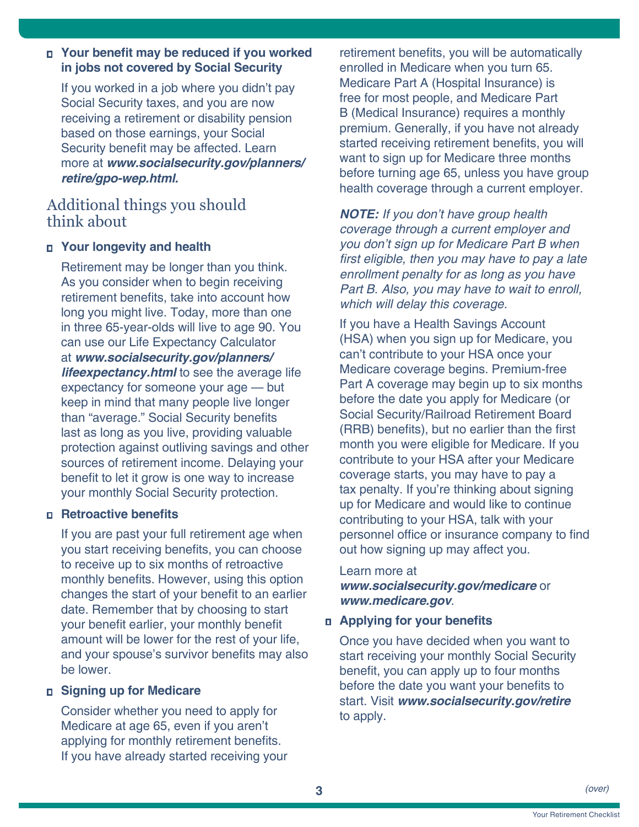#### <span id="page-2-0"></span>**□** Your benefit may be reduced if you worked **in jobs not covered by Social Security**

If you worked in a job where you didn't pay Social Security taxes, and you are now receiving a retirement or disability pension based on those earnings, your Social Security benefit may be affected. Learn more at *[www.socialsecurity.gov/planners/](https://www.socialsecurity.gov/planners/retire/gpo-wep.html) [retire/gpo-wep.html.](https://www.socialsecurity.gov/planners/retire/gpo-wep.html)*

# Additional things you should think about

#### **□ Your longevity and health**

Retirement may be longer than you think. As you consider when to begin receiving retirement benefits, take into account how long you might live. Today, more than one in three 65-year-olds will live to age 90. You can use our [Life Expectancy Calculator](https://www.ssa.gov/planners/lifeexpectancy.html) at *[www.socialsecurity.gov/planners/](https://www.socialsecurity.gov/planners/lifeexpectancy.html) [lifeexpectancy.html](https://www.socialsecurity.gov/planners/lifeexpectancy.html)* to see the average life expectancy for someone your age — but keep in mind that many people live longer than "average." Social Security benefits last as long as you live, providing valuable protection against outliving savings and other sources of retirement income. Delaying your benefit to let it grow is one way to increase your monthly Social Security protection.

#### **□ Retroactive benefits**

If you are past your full retirement age when you start receiving benefits, you can choose to receive up to six months of retroactive monthly benefits. However, using this option changes the start of your benefit to an earlier date. Remember that by choosing to start your benefit earlier, your monthly benefit amount will be lower for the rest of your life, and your spouse's survivor benefits may also be lower.

#### **□ Signing up for Medicare**

Consider whether you need to apply for Medicare at age 65, even if you aren't applying for monthly retirement benefits. If you have already started receiving your retirement benefits, you will be automatically enrolled in Medicare when you turn 65. Medicare Part A (Hospital Insurance) is free for most people, and Medicare Part B (Medical Insurance) requires a monthly premium. Generally, if you have not already started receiving retirement benefits, you will want to sign up for Medicare three months before turning age 65, unless you have group health coverage through a current employer.

*NOTE: If you don't have group health coverage through a current employer and you don't sign up for Medicare Part B when*  first eligible, then you may have to pay a late *enrollment penalty for as long as you have*  Part B. Also, you may have to wait to enroll, *which will delay this coverage.*

If you have a Health Savings Account (HSA) when you sign up for Medicare, you can't contribute to your HSA once your Medicare coverage begins. Premium-free Part A coverage may begin up to six months before the date you apply for Medicare (or Social Security/Railroad Retirement Board (RRB) benefits), but no earlier than the first month you were eligible for Medicare. If you contribute to your HSA after your Medicare coverage starts, you may have to pay a tax penalty. If you're thinking about signing up for Medicare and would like to continue contributing to your HSA, talk with your personnel office or insurance company to find out how signing up may affect you.

#### Learn more at

*[www.socialsecurity.gov/medicare](https://www.socialsecurity.gov/medicare)* or *[www.medicare.gov](https://www.medicare.gov)*.

#### **□ Applying for your benefits**

Once you have decided when you want to start receiving your monthly Social Security benefit, you can apply up to four months before the date you want your benefits to start. Visit *[www.socialsecurity.gov/retire](https://www.socialsecurity.gov/retire)* to apply.